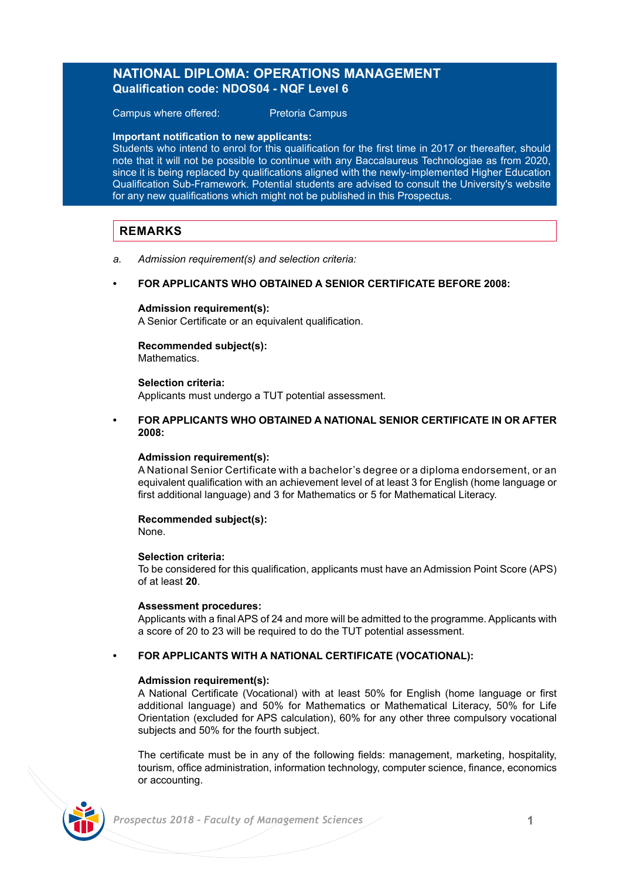## **NATIONAL DIPLOMA: OPERATIONS MANAGEMENT Qualification code: NDOS04 - NQF Level 6**

Campus where offered: Pretoria Campus

## **Important notification to new applicants:**

Students who intend to enrol for this qualification for the first time in 2017 or thereafter, should note that it will not be possible to continue with any Baccalaureus Technologiae as from 2020, since it is being replaced by qualifications aligned with the newly-implemented Higher Education Qualification Sub-Framework. Potential students are advised to consult the University's website for any new qualifications which might not be published in this Prospectus.

## **REMARKS**

- *a. Admission requirement(s) and selection criteria:*
- **FOR APPLICANTS WHO OBTAINED A SENIOR CERTIFICATE BEFORE 2008:**

### **Admission requirement(s):**

A Senior Certificate or an equivalent qualification.

### **Recommended subject(s): Mathematics**

### **Selection criteria:**

Applicants must undergo a TUT potential assessment.

**• FOR APPLICANTS WHO OBTAINED A NATIONAL SENIOR CERTIFICATE IN OR AFTER 2008:**

### **Admission requirement(s):**

A National Senior Certificate with a bachelor's degree or a diploma endorsement, or an equivalent qualification with an achievement level of at least 3 for English (home language or first additional language) and 3 for Mathematics or 5 for Mathematical Literacy.

## **Recommended subject(s):**

None.

## **Selection criteria:**

To be considered for this qualification, applicants must have an Admission Point Score (APS) of at least **20**.

### **Assessment procedures:**

Applicants with a final APS of 24 and more will be admitted to the programme. Applicants with a score of 20 to 23 will be required to do the TUT potential assessment.

## **• FOR APPLICANTS WITH A NATIONAL CERTIFICATE (VOCATIONAL):**

## **Admission requirement(s):**

A National Certificate (Vocational) with at least 50% for English (home language or first additional language) and 50% for Mathematics or Mathematical Literacy, 50% for Life Orientation (excluded for APS calculation), 60% for any other three compulsory vocational subjects and 50% for the fourth subject.

The certificate must be in any of the following fields: management, marketing, hospitality, tourism, office administration, information technology, computer science, finance, economics or accounting.

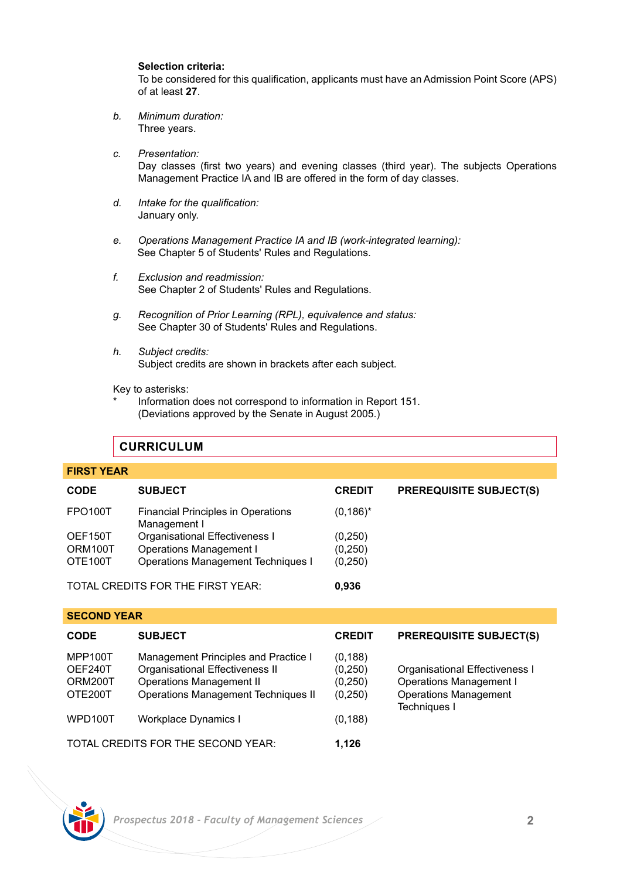## **Selection criteria:**

To be considered for this qualification, applicants must have an Admission Point Score (APS) of at least **27**.

- *b. Minimum duration:* Three years.
- *c. Presentation:* Day classes (first two years) and evening classes (third year). The subjects Operations Management Practice IA and IB are offered in the form of day classes.
- *d. Intake for the qualification:* January only.
- *e. Operations Management Practice IA and IB (work-integrated learning):* See Chapter 5 of Students' Rules and Regulations.
- *f. Exclusion and readmission:* See Chapter 2 of Students' Rules and Regulations.
- *g. Recognition of Prior Learning (RPL), equivalence and status:* See Chapter 30 of Students' Rules and Regulations.
- *h. Subject credits:* Subject credits are shown in brackets after each subject.

Key to asterisks:

Information does not correspond to information in Report 151. (Deviations approved by the Senate in August 2005.)

## **CURRICULUM**

| <b>FIRST YEAR</b> |                                                    |               |                                |
|-------------------|----------------------------------------------------|---------------|--------------------------------|
| <b>CODE</b>       | <b>SUBJECT</b>                                     | <b>CREDIT</b> | <b>PREREQUISITE SUBJECT(S)</b> |
| <b>FPO100T</b>    | Financial Principles in Operations<br>Management I | $(0, 186)^*$  |                                |
| OEF150T           | Organisational Effectiveness I                     | (0,250)       |                                |
| ORM100T           | Operations Management I                            | (0, 250)      |                                |
| OTE100T           | Operations Management Techniques I                 | (0,250)       |                                |
|                   | TOTAL CREDITS FOR THE FIRST YEAR:                  | 0.936         |                                |

|  | <b>SECOND YEAR</b> |
|--|--------------------|
|  |                    |

| <b>CODE</b>                              | <b>SUBJECT</b>                                                                                                                                           | <b>CREDIT</b>                              | <b>PREREQUISITE SUBJECT(S)</b>                                                                                   |
|------------------------------------------|----------------------------------------------------------------------------------------------------------------------------------------------------------|--------------------------------------------|------------------------------------------------------------------------------------------------------------------|
| MPP100T<br>OEF240T<br>ORM200T<br>OTE200T | Management Principles and Practice I<br>Organisational Effectiveness II<br><b>Operations Management II</b><br><b>Operations Management Techniques II</b> | (0, 188)<br>(0,250)<br>(0, 250)<br>(0,250) | Organisational Effectiveness I<br><b>Operations Management I</b><br><b>Operations Management</b><br>Techniques I |
| WPD100T                                  | Workplace Dynamics I                                                                                                                                     | (0, 188)                                   |                                                                                                                  |
| TOTAL CREDITS FOR THE SECOND YEAR:       |                                                                                                                                                          | 1.126                                      |                                                                                                                  |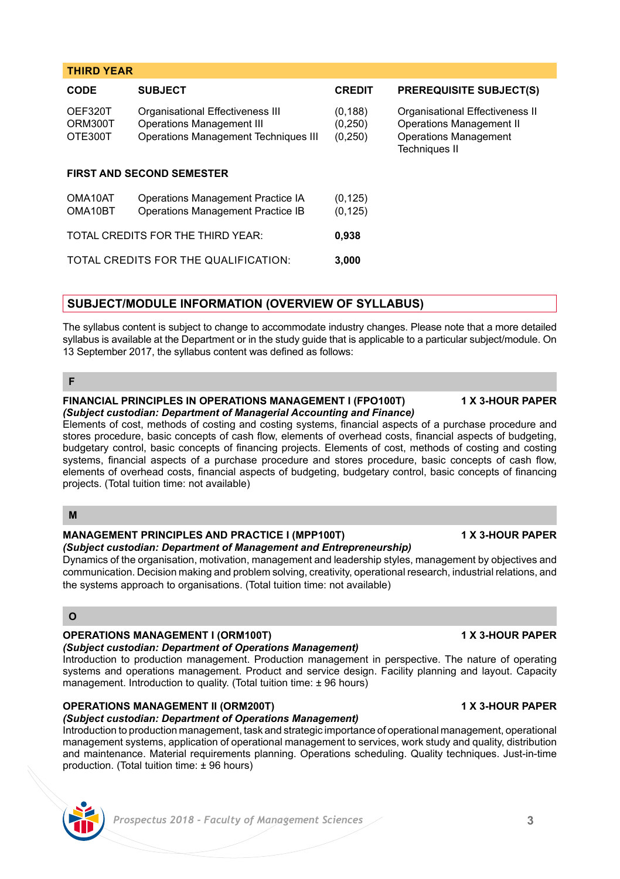| <b>CODE</b>                       | <b>SUBJECT</b>                                                                                                      | <b>CREDIT</b>                    | <b>PREREQUISITE SUBJECT(S)</b>                                                                                      |  |  |
|-----------------------------------|---------------------------------------------------------------------------------------------------------------------|----------------------------------|---------------------------------------------------------------------------------------------------------------------|--|--|
| OEF320T<br>ORM300T<br>OTE300T     | Organisational Effectiveness III<br><b>Operations Management III</b><br><b>Operations Management Techniques III</b> | (0, 188)<br>(0, 250)<br>(0, 250) | Organisational Effectiveness II<br>Operations Management II<br><b>Operations Management</b><br><b>Techniques II</b> |  |  |
| <b>FIRST AND SECOND SEMESTER</b>  |                                                                                                                     |                                  |                                                                                                                     |  |  |
| OMA10AT<br>OMA10BT                | Operations Management Practice IA<br>Operations Management Practice IB                                              | (0, 125)<br>(0, 125)             |                                                                                                                     |  |  |
| TOTAL CREDITS FOR THE THIRD YEAR: |                                                                                                                     | 0.938                            |                                                                                                                     |  |  |
|                                   | TOTAL CREDITS FOR THE QUALIFICATION:                                                                                | 3.000                            |                                                                                                                     |  |  |

## **SUBJECT/MODULE INFORMATION (OVERVIEW OF SYLLABUS)**

The syllabus content is subject to change to accommodate industry changes. Please note that a more detailed syllabus is available at the Department or in the study guide that is applicable to a particular subject/module. On 13 September 2017, the syllabus content was defined as follows:

**THIRD YEAR**

## **FINANCIAL PRINCIPLES IN OPERATIONS MANAGEMENT I (FPO100T) 1 X 3-HOUR PAPER** *(Subject custodian: Department of Managerial Accounting and Finance)*

Elements of cost, methods of costing and costing systems, financial aspects of a purchase procedure and stores procedure, basic concepts of cash flow, elements of overhead costs, financial aspects of budgeting, budgetary control, basic concepts of financing projects. Elements of cost, methods of costing and costing systems, financial aspects of a purchase procedure and stores procedure, basic concepts of cash flow. elements of overhead costs, financial aspects of budgeting, budgetary control, basic concepts of financing projects. (Total tuition time: not available)

## **M**

### **MANAGEMENT PRINCIPLES AND PRACTICE I (MPP100T) 1 X 3-HOUR PAPER** *(Subject custodian: Department of Management and Entrepreneurship)*

Dynamics of the organisation, motivation, management and leadership styles, management by objectives and communication. Decision making and problem solving, creativity, operational research, industrial relations, and the systems approach to organisations. (Total tuition time: not available)

## **O**

## **OPERATIONS MANAGEMENT I (ORM100T) 1 X 3-HOUR PAPER**

## *(Subject custodian: Department of Operations Management)*

Introduction to production management. Production management in perspective. The nature of operating systems and operations management. Product and service design. Facility planning and layout. Capacity management. Introduction to quality. (Total tuition time:  $\pm$  96 hours)

# **OPERATIONS MANAGEMENT II (ORM200T) 1 X 3-HOUR PAPER**

*(Subject custodian: Department of Operations Management)*

Introduction to production management, task and strategic importance of operational management, operational management systems, application of operational management to services, work study and quality, distribution and maintenance. Material requirements planning. Operations scheduling. Quality techniques. Just-in-time production. (Total tuition time: ± 96 hours)

**F**